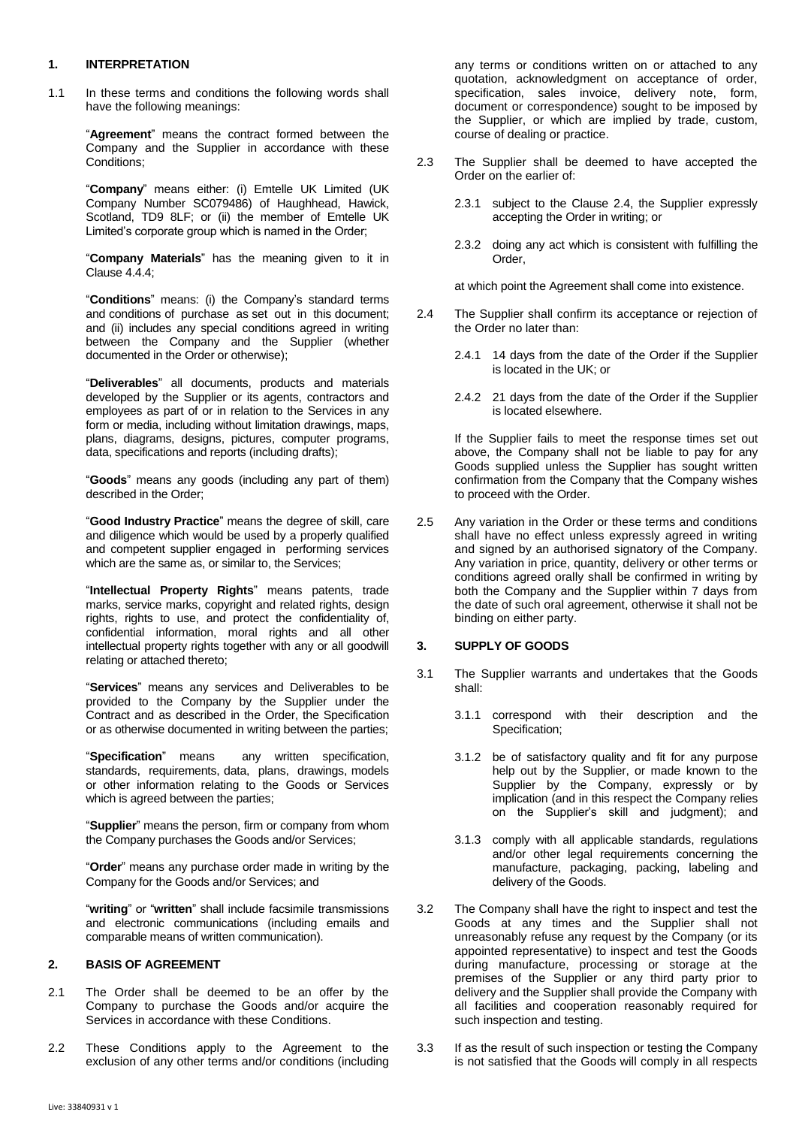## **1. INTERPRETATION**

1.1 In these terms and conditions the following words shall have the following meanings:

> "**Agreement**" means the contract formed between the Company and the Supplier in accordance with these Conditions;

> "**Company**" means either: (i) Emtelle UK Limited (UK Company Number SC079486) of Haughhead, Hawick, Scotland, TD9 8LF; or (ii) the member of Emtelle UK Limited's corporate group which is named in the Order;

> "**Company Materials**" has the meaning given to it in Clause [4.4.4;](#page-1-0)

> "**Conditions**" means: (i) the Company's standard terms and conditions of purchase as set out in this document; and (ii) includes any special conditions agreed in writing between the Company and the Supplier (whether documented in the Order or otherwise);

> "**Deliverables**" all documents, products and materials developed by the Supplier or its agents, contractors and employees as part of or in relation to the Services in any form or media, including without limitation drawings, maps, plans, diagrams, designs, pictures, computer programs, data, specifications and reports (including drafts);

> "**Goods**" means any goods (including any part of them) described in the Order;

> "**Good Industry Practice**" means the degree of skill, care and diligence which would be used by a properly qualified and competent supplier engaged in performing services which are the same as, or similar to, the Services;

> "**Intellectual Property Rights**" means patents, trade marks, service marks, copyright and related rights, design rights, rights to use, and protect the confidentiality of, confidential information, moral rights and all other intellectual property rights together with any or all goodwill relating or attached thereto;

> "**Services**" means any services and Deliverables to be provided to the Company by the Supplier under the Contract and as described in the Order, the Specification or as otherwise documented in writing between the parties;

> "**Specification**" means any written specification, standards, requirements, data, plans, drawings, models or other information relating to the Goods or Services which is agreed between the parties;

> "**Supplier**" means the person, firm or company from whom the Company purchases the Goods and/or Services;

> "**Order**" means any purchase order made in writing by the Company for the Goods and/or Services; and

> "**writing**" or "**written**" shall include facsimile transmissions and electronic communications (including emails and comparable means of written communication).

### **2. BASIS OF AGREEMENT**

- 2.1 The Order shall be deemed to be an offer by the Company to purchase the Goods and/or acquire the Services in accordance with these Conditions.
- 2.2 These Conditions apply to the Agreement to the exclusion of any other terms and/or conditions (including

any terms or conditions written on or attached to any quotation, acknowledgment on acceptance of order, specification, sales invoice, delivery note, form, document or correspondence) sought to be imposed by the Supplier, or which are implied by trade, custom, course of dealing or practice.

- 2.3 The Supplier shall be deemed to have accepted the Order on the earlier of:
	- 2.3.1 subject to the Clause 2.4, the Supplier expressly accepting the Order in writing; or
	- 2.3.2 doing any act which is consistent with fulfilling the Order,

at which point the Agreement shall come into existence.

- 2.4 The Supplier shall confirm its acceptance or rejection of the Order no later than:
	- 2.4.1 14 days from the date of the Order if the Supplier is located in the UK; or
	- 2.4.2 21 days from the date of the Order if the Supplier is located elsewhere.

If the Supplier fails to meet the response times set out above, the Company shall not be liable to pay for any Goods supplied unless the Supplier has sought written confirmation from the Company that the Company wishes to proceed with the Order.

2.5 Any variation in the Order or these terms and conditions shall have no effect unless expressly agreed in writing and signed by an authorised signatory of the Company. Any variation in price, quantity, delivery or other terms or conditions agreed orally shall be confirmed in writing by both the Company and the Supplier within 7 days from the date of such oral agreement, otherwise it shall not be binding on either party.

## **3. SUPPLY OF GOODS**

- <span id="page-0-1"></span>3.1 The Supplier warrants and undertakes that the Goods shall:
	- 3.1.1 correspond with their description and the Specification;
	- 3.1.2 be of satisfactory quality and fit for any purpose help out by the Supplier, or made known to the Supplier by the Company, expressly or by implication (and in this respect the Company relies on the Supplier's skill and judgment); and
	- 3.1.3 comply with all applicable standards, regulations and/or other legal requirements concerning the manufacture, packaging, packing, labeling and delivery of the Goods.
- <span id="page-0-0"></span>3.2 The Company shall have the right to inspect and test the Goods at any times and the Supplier shall not unreasonably refuse any request by the Company (or its appointed representative) to inspect and test the Goods during manufacture, processing or storage at the premises of the Supplier or any third party prior to delivery and the Supplier shall provide the Company with all facilities and cooperation reasonably required for such inspection and testing.
- 3.3 If as the result of such inspection or testing the Company is not satisfied that the Goods will comply in all respects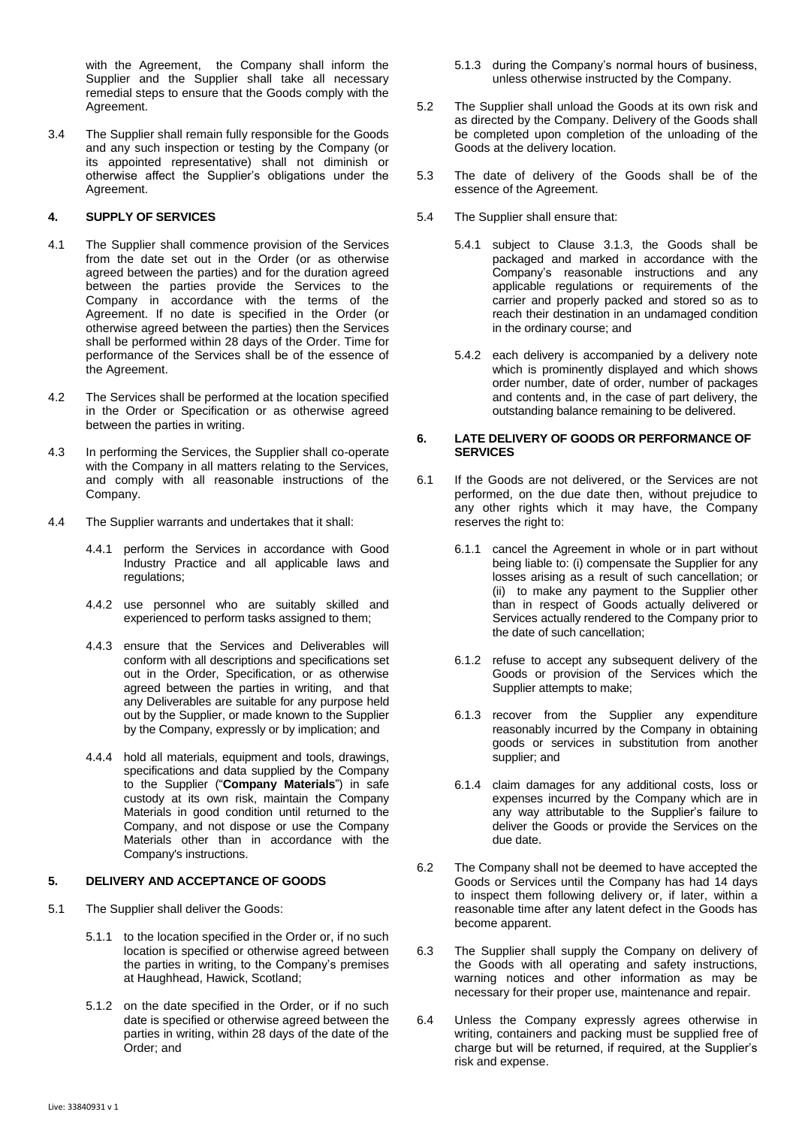with the Agreement, the Company shall inform the Supplier and the Supplier shall take all necessary remedial steps to ensure that the Goods comply with the Agreement.

3.4 The Supplier shall remain fully responsible for the Goods and any such inspection or testing by the Company (or its appointed representative) shall not diminish or otherwise affect the Supplier's obligations under the Agreement.

# **4. SUPPLY OF SERVICES**

- 4.1 The Supplier shall commence provision of the Services from the date set out in the Order (or as otherwise agreed between the parties) and for the duration agreed between the parties provide the Services to the Company in accordance with the terms of the Agreement. If no date is specified in the Order (or otherwise agreed between the parties) then the Services shall be performed within 28 days of the Order. Time for performance of the Services shall be of the essence of the Agreement.
- 4.2 The Services shall be performed at the location specified in the Order or Specification or as otherwise agreed between the parties in writing.
- 4.3 In performing the Services, the Supplier shall co-operate with the Company in all matters relating to the Services, and comply with all reasonable instructions of the Company.
- 4.4 The Supplier warrants and undertakes that it shall:
	- 4.4.1 perform the Services in accordance with Good Industry Practice and all applicable laws and regulations;
	- 4.4.2 use personnel who are suitably skilled and experienced to perform tasks assigned to them;
	- 4.4.3 ensure that the Services and Deliverables will conform with all descriptions and specifications set out in the Order, Specification, or as otherwise agreed between the parties in writing, and that any Deliverables are suitable for any purpose held out by the Supplier, or made known to the Supplier by the Company, expressly or by implication; and
	- 4.4.4 hold all materials, equipment and tools, drawings, specifications and data supplied by the Company to the Supplier ("**Company Materials**") in safe custody at its own risk, maintain the Company Materials in good condition until returned to the Company, and not dispose or use the Company Materials other than in accordance with the Company's instructions.

### <span id="page-1-2"></span><span id="page-1-0"></span>**5. DELIVERY AND ACCEPTANCE OF GOODS**

- 5.1 The Supplier shall deliver the Goods:
	- 5.1.1 to the location specified in the Order or, if no such location is specified or otherwise agreed between the parties in writing, to the Company's premises at Haughhead, Hawick, Scotland;
	- 5.1.2 on the date specified in the Order, or if no such date is specified or otherwise agreed between the parties in writing, within 28 days of the date of the Order; and
- 5.1.3 during the Company's normal hours of business, unless otherwise instructed by the Company.
- 5.2 The Supplier shall unload the Goods at its own risk and as directed by the Company. Delivery of the Goods shall be completed upon completion of the unloading of the Goods at the delivery location.
- 5.3 The date of delivery of the Goods shall be of the essence of the Agreement.
- 5.4 The Supplier shall ensure that:
	- 5.4.1 subject to Clause [3.1.3,](#page-0-0) the Goods shall be packaged and marked in accordance with the Company's reasonable instructions and any applicable regulations or requirements of the carrier and properly packed and stored so as to reach their destination in an undamaged condition in the ordinary course; and
	- 5.4.2 each delivery is accompanied by a delivery note which is prominently displayed and which shows order number, date of order, number of packages and contents and, in the case of part delivery, the outstanding balance remaining to be delivered.

## <span id="page-1-1"></span>**6. LATE DELIVERY OF GOODS OR PERFORMANCE OF SERVICES**

- 6.1 If the Goods are not delivered, or the Services are not performed, on the due date then, without prejudice to any other rights which it may have, the Company reserves the right to:
	- 6.1.1 cancel the Agreement in whole or in part without being liable to: (i) compensate the Supplier for any losses arising as a result of such cancellation; or (ii) to make any payment to the Supplier other than in respect of Goods actually delivered or Services actually rendered to the Company prior to the date of such cancellation;
	- 6.1.2 refuse to accept any subsequent delivery of the Goods or provision of the Services which the Supplier attempts to make;
	- 6.1.3 recover from the Supplier any expenditure reasonably incurred by the Company in obtaining goods or services in substitution from another supplier; and
	- 6.1.4 claim damages for any additional costs, loss or expenses incurred by the Company which are in any way attributable to the Supplier's failure to deliver the Goods or provide the Services on the due date.
- 6.2 The Company shall not be deemed to have accepted the Goods or Services until the Company has had 14 days to inspect them following delivery or, if later, within a reasonable time after any latent defect in the Goods has become apparent.
- 6.3 The Supplier shall supply the Company on delivery of the Goods with all operating and safety instructions, warning notices and other information as may be necessary for their proper use, maintenance and repair.
- 6.4 Unless the Company expressly agrees otherwise in writing, containers and packing must be supplied free of charge but will be returned, if required, at the Supplier's risk and expense.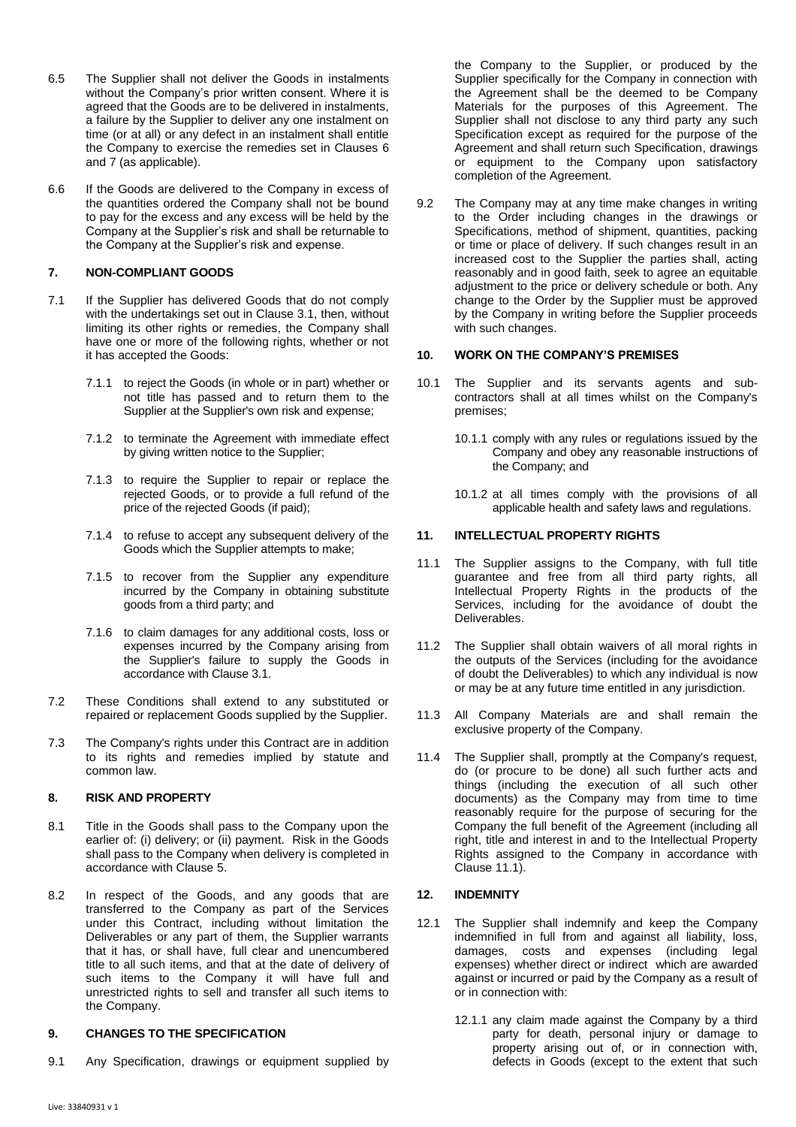- 6.5 The Supplier shall not deliver the Goods in instalments without the Company's prior written consent. Where it is agreed that the Goods are to be delivered in instalments, a failure by the Supplier to deliver any one instalment on time (or at all) or any defect in an instalment shall entitle the Company to exercise the remedies set in Clauses [6](#page-1-1) and 7 (as applicable).
- 6.6 If the Goods are delivered to the Company in excess of the quantities ordered the Company shall not be bound to pay for the excess and any excess will be held by the Company at the Supplier's risk and shall be returnable to the Company at the Supplier's risk and expense.

# **7. NON-COMPLIANT GOODS**

- 7.1 If the Supplier has delivered Goods that do not comply with the undertakings set out in Clause [3.1,](#page-0-1) then, without limiting its other rights or remedies, the Company shall have one or more of the following rights, whether or not it has accepted the Goods:
	- 7.1.1 to reject the Goods (in whole or in part) whether or not title has passed and to return them to the Supplier at the Supplier's own risk and expense;
	- 7.1.2 to terminate the Agreement with immediate effect by giving written notice to the Supplier;
	- 7.1.3 to require the Supplier to repair or replace the rejected Goods, or to provide a full refund of the price of the rejected Goods (if paid);
	- 7.1.4 to refuse to accept any subsequent delivery of the Goods which the Supplier attempts to make;
	- 7.1.5 to recover from the Supplier any expenditure incurred by the Company in obtaining substitute goods from a third party; and
	- 7.1.6 to claim damages for any additional costs, loss or expenses incurred by the Company arising from the Supplier's failure to supply the Goods in accordance with Claus[e 3.1.](#page-0-1)
- 7.2 These Conditions shall extend to any substituted or repaired or replacement Goods supplied by the Supplier.
- 7.3 The Company's rights under this Contract are in addition to its rights and remedies implied by statute and common law.

## **8. RISK AND PROPERTY**

- 8.1 Title in the Goods shall pass to the Company upon the earlier of: (i) delivery; or (ii) payment. Risk in the Goods shall pass to the Company when delivery is completed in accordance with Clause [5.](#page-1-2)
- 8.2 In respect of the Goods, and any goods that are transferred to the Company as part of the Services under this Contract, including without limitation the Deliverables or any part of them, the Supplier warrants that it has, or shall have, full clear and unencumbered title to all such items, and that at the date of delivery of such items to the Company it will have full and unrestricted rights to sell and transfer all such items to the Company.

## **9. CHANGES TO THE SPECIFICATION**

9.1 Any Specification, drawings or equipment supplied by

the Company to the Supplier, or produced by the Supplier specifically for the Company in connection with the Agreement shall be the deemed to be Company Materials for the purposes of this Agreement. The Supplier shall not disclose to any third party any such Specification except as required for the purpose of the Agreement and shall return such Specification, drawings or equipment to the Company upon satisfactory completion of the Agreement.

9.2 The Company may at any time make changes in writing to the Order including changes in the drawings or Specifications, method of shipment, quantities, packing or time or place of delivery. If such changes result in an increased cost to the Supplier the parties shall, acting reasonably and in good faith, seek to agree an equitable adjustment to the price or delivery schedule or both. Any change to the Order by the Supplier must be approved by the Company in writing before the Supplier proceeds with such changes.

# **10. WORK ON THE COMPANY'S PREMISES**

- 10.1 The Supplier and its servants agents and subcontractors shall at all times whilst on the Company's premises;
	- 10.1.1 comply with any rules or regulations issued by the Company and obey any reasonable instructions of the Company; and
	- 10.1.2 at all times comply with the provisions of all applicable health and safety laws and regulations.

## **11. INTELLECTUAL PROPERTY RIGHTS**

- <span id="page-2-0"></span>11.1 The Supplier assigns to the Company, with full title guarantee and free from all third party rights, all Intellectual Property Rights in the products of the Services, including for the avoidance of doubt the Deliverables.
- 11.2 The Supplier shall obtain waivers of all moral rights in the outputs of the Services (including for the avoidance of doubt the Deliverables) to which any individual is now or may be at any future time entitled in any jurisdiction.
- 11.3 All Company Materials are and shall remain the exclusive property of the Company.
- 11.4 The Supplier shall, promptly at the Company's request, do (or procure to be done) all such further acts and things (including the execution of all such other documents) as the Company may from time to time reasonably require for the purpose of securing for the Company the full benefit of the Agreement (including all right, title and interest in and to the Intellectual Property Rights assigned to the Company in accordance with Claus[e 11.1\)](#page-2-0).

### <span id="page-2-1"></span>**12. INDEMNITY**

- 12.1 The Supplier shall indemnify and keep the Company indemnified in full from and against all liability, loss, damages, costs and expenses (including legal expenses) whether direct or indirect which are awarded against or incurred or paid by the Company as a result of or in connection with:
	- 12.1.1 any claim made against the Company by a third party for death, personal injury or damage to property arising out of, or in connection with, defects in Goods (except to the extent that such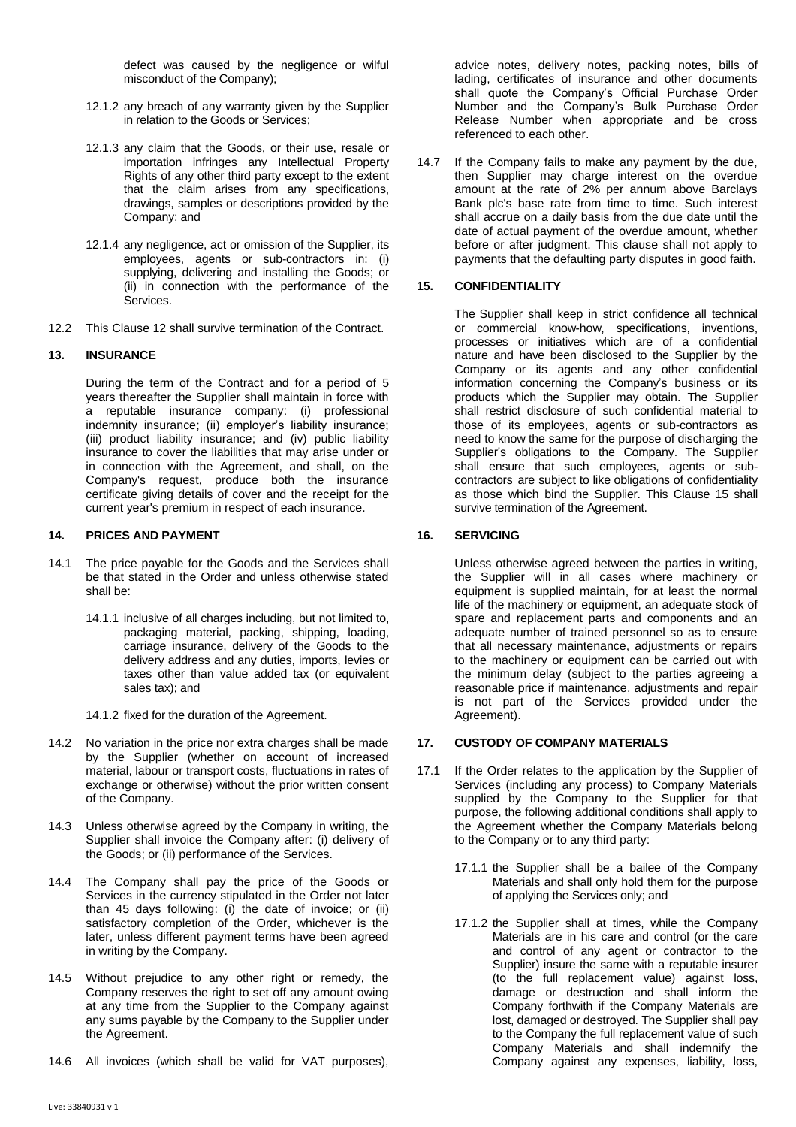defect was caused by the negligence or wilful misconduct of the Company);

- 12.1.2 any breach of any warranty given by the Supplier in relation to the Goods or Services;
- 12.1.3 any claim that the Goods, or their use, resale or importation infringes any Intellectual Property Rights of any other third party except to the extent that the claim arises from any specifications, drawings, samples or descriptions provided by the Company; and
- 12.1.4 any negligence, act or omission of the Supplier, its employees, agents or sub-contractors in: (i) supplying, delivering and installing the Goods; or (ii) in connection with the performance of the Services.
- 12.2 This Clause [12](#page-2-1) shall survive termination of the Contract.

# **13. INSURANCE**

During the term of the Contract and for a period of 5 years thereafter the Supplier shall maintain in force with a reputable insurance company: (i) professional indemnity insurance; (ii) employer's liability insurance; (iii) product liability insurance; and (iv) public liability insurance to cover the liabilities that may arise under or in connection with the Agreement, and shall, on the Company's request, produce both the insurance certificate giving details of cover and the receipt for the current year's premium in respect of each insurance.

## **14. PRICES AND PAYMENT**

- 14.1 The price payable for the Goods and the Services shall be that stated in the Order and unless otherwise stated shall be:
	- 14.1.1 inclusive of all charges including, but not limited to, packaging material, packing, shipping, loading, carriage insurance, delivery of the Goods to the delivery address and any duties, imports, levies or taxes other than value added tax (or equivalent sales tax); and

14.1.2 fixed for the duration of the Agreement.

- 14.2 No variation in the price nor extra charges shall be made by the Supplier (whether on account of increased material, labour or transport costs, fluctuations in rates of exchange or otherwise) without the prior written consent of the Company.
- 14.3 Unless otherwise agreed by the Company in writing, the Supplier shall invoice the Company after: (i) delivery of the Goods; or (ii) performance of the Services.
- 14.4 The Company shall pay the price of the Goods or Services in the currency stipulated in the Order not later than 45 days following: (i) the date of invoice; or (ii) satisfactory completion of the Order, whichever is the later, unless different payment terms have been agreed in writing by the Company.
- 14.5 Without prejudice to any other right or remedy, the Company reserves the right to set off any amount owing at any time from the Supplier to the Company against any sums payable by the Company to the Supplier under the Agreement.
- 14.6 All invoices (which shall be valid for VAT purposes),

advice notes, delivery notes, packing notes, bills of lading, certificates of insurance and other documents shall quote the Company's Official Purchase Order Number and the Company's Bulk Purchase Order Release Number when appropriate and be cross referenced to each other.

14.7 If the Company fails to make any payment by the due, then Supplier may charge interest on the overdue amount at the rate of 2% per annum above Barclays Bank plc's base rate from time to time. Such interest shall accrue on a daily basis from the due date until the date of actual payment of the overdue amount, whether before or after judgment. This clause shall not apply to payments that the defaulting party disputes in good faith.

## <span id="page-3-0"></span>**15. CONFIDENTIALITY**

The Supplier shall keep in strict confidence all technical or commercial know-how, specifications, inventions, processes or initiatives which are of a confidential nature and have been disclosed to the Supplier by the Company or its agents and any other confidential information concerning the Company's business or its products which the Supplier may obtain. The Supplier shall restrict disclosure of such confidential material to those of its employees, agents or sub-contractors as need to know the same for the purpose of discharging the Supplier's obligations to the Company. The Supplier shall ensure that such employees, agents or subcontractors are subject to like obligations of confidentiality as those which bind the Supplier. This Clause [15](#page-3-0) shall survive termination of the Agreement.

## **16. SERVICING**

Unless otherwise agreed between the parties in writing, the Supplier will in all cases where machinery or equipment is supplied maintain, for at least the normal life of the machinery or equipment, an adequate stock of spare and replacement parts and components and an adequate number of trained personnel so as to ensure that all necessary maintenance, adjustments or repairs to the machinery or equipment can be carried out with the minimum delay (subject to the parties agreeing a reasonable price if maintenance, adjustments and repair is not part of the Services provided under the Agreement).

### **17. CUSTODY OF COMPANY MATERIALS**

- 17.1 If the Order relates to the application by the Supplier of Services (including any process) to Company Materials supplied by the Company to the Supplier for that purpose, the following additional conditions shall apply to the Agreement whether the Company Materials belong to the Company or to any third party:
	- 17.1.1 the Supplier shall be a bailee of the Company Materials and shall only hold them for the purpose of applying the Services only; and
	- 17.1.2 the Supplier shall at times, while the Company Materials are in his care and control (or the care and control of any agent or contractor to the Supplier) insure the same with a reputable insurer (to the full replacement value) against loss, damage or destruction and shall inform the Company forthwith if the Company Materials are lost, damaged or destroyed. The Supplier shall pay to the Company the full replacement value of such Company Materials and shall indemnify the Company against any expenses, liability, loss,